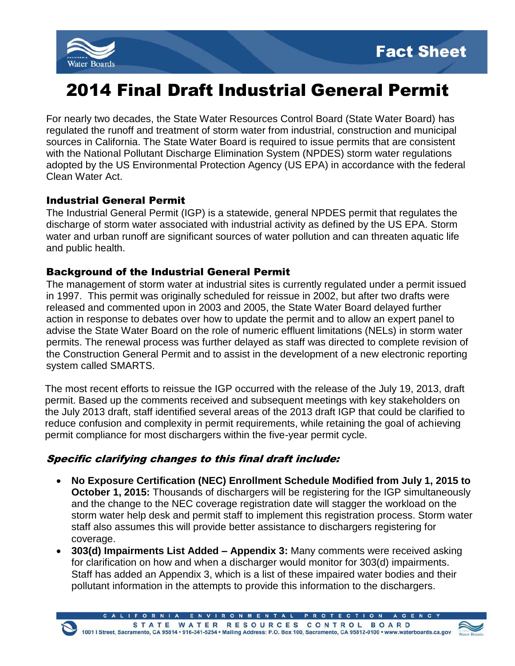



# 2014 Final Draft Industrial General Permit

For nearly two decades, the State Water Resources Control Board (State Water Board) has regulated the runoff and treatment of storm water from industrial, construction and municipal sources in California. The State Water Board is required to issue permits that are consistent with the National Pollutant Discharge Elimination System (NPDES) storm water regulations adopted by the US Environmental Protection Agency (US EPA) in accordance with the federal Clean Water Act.

#### Industrial General Permit

The Industrial General Permit (IGP) is a statewide, general NPDES permit that regulates the discharge of storm water associated with industrial activity as defined by the US EPA. Storm water and urban runoff are significant sources of water pollution and can threaten aquatic life and public health.

### Background of the Industrial General Permit

The management of storm water at industrial sites is currently regulated under a permit issued in 1997. This permit was originally scheduled for reissue in 2002, but after two drafts were released and commented upon in 2003 and 2005, the State Water Board delayed further action in response to debates over how to update the permit and to allow an expert panel to advise the State Water Board on the role of numeric effluent limitations (NELs) in storm water permits. The renewal process was further delayed as staff was directed to complete revision of the Construction General Permit and to assist in the development of a new electronic reporting system called SMARTS.

The most recent efforts to reissue the IGP occurred with the release of the July 19, 2013, draft permit. Based up the comments received and subsequent meetings with key stakeholders on the July 2013 draft, staff identified several areas of the 2013 draft IGP that could be clarified to reduce confusion and complexity in permit requirements, while retaining the goal of achieving permit compliance for most dischargers within the five-year permit cycle.

## Specific clarifying changes to this final draft include:

- **No Exposure Certification (NEC) Enrollment Schedule Modified from July 1, 2015 to October 1, 2015:** Thousands of dischargers will be registering for the IGP simultaneously and the change to the NEC coverage registration date will stagger the workload on the storm water help desk and permit staff to implement this registration process. Storm water staff also assumes this will provide better assistance to dischargers registering for coverage.
- **303(d) Impairments List Added – Appendix 3:** Many comments were received asking for clarification on how and when a discharger would monitor for 303(d) impairments. Staff has added an Appendix 3, which is a list of these impaired water bodies and their pollutant information in the attempts to provide this information to the dischargers.